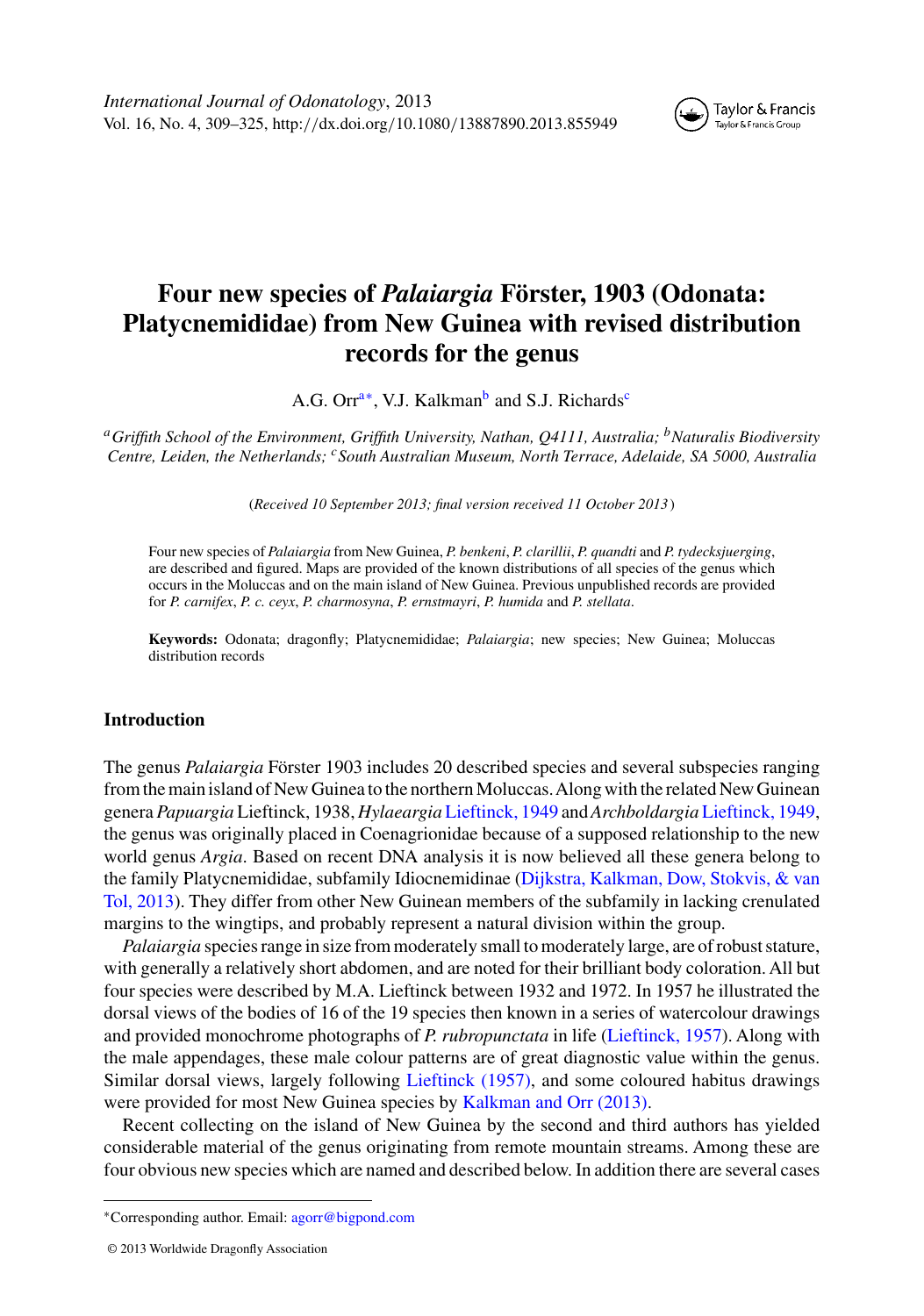

# **Four new species of** *Palaiargia* **Förster, 1903 (Odonata: Platycnemididae) from New Guinea with revised distribution records for the genus**

A.G. Orr<sup>a∗</sup>, V.J. Kalkman<sup>b</sup> and S.J. Richards<sup>c</sup>

*<sup>a</sup>Griffith School of the Environment, Griffith University, Nathan, Q4111, Australia; <sup>b</sup>Naturalis Biodiversity Centre, Leiden, the Netherlands; <sup>c</sup>South Australian Museum, North Terrace, Adelaide, SA 5000, Australia*

(*Received 10 September 2013; final version received 11 October 2013* )

Four new species of *Palaiargia* from New Guinea, *P. benkeni*, *P. clarillii*, *P. quandti* and *P. tydecksjuerging*, are described and figured. Maps are provided of the known distributions of all species of the genus which occurs in the Moluccas and on the main island of New Guinea. Previous unpublished records are provided for *P. carnifex*, *P. c. ceyx*, *P. charmosyna*, *P. ernstmayri*, *P. humida* and *P. stellata*.

**Keywords:** Odonata; dragonfly; Platycnemididae; *Palaiargia*; new species; New Guinea; Moluccas distribution records

# **Introduction**

The genus *Palaiargia* Förster 1903 includes 20 described species and several subspecies ranging from the main island of New Guinea to the northern Moluccas.Along with the related New Guinean genera *Papuargia* Lieftinck, 1938, *Hylaeargia* [Lieftinck, 1949](#page-16-0) and*Archboldargia* [Lieftinck, 1949,](#page-16-0) the genus was originally placed in Coenagrionidae because of a supposed relationship to the new world genus *Argia*. Based on recent DNA analysis it is now believed all these genera belong to the family Platycnemididae, subfamily Idiocnemidinae (Dijkstra, Kalkman, Dow, Stokvis, & van Tol, 2013). They differ from other New Guinean members of the subfamily in lacking crenulated margins to the wingtips, and probably represent a natural division within the group.

*Palaiargia* species range in size from moderately small to moderately large, are of robust stature, with generally a relatively short abdomen, and are noted for their brilliant body coloration. All but four species were described by M.A. Lieftinck between 1932 and 1972. In 1957 he illustrated the dorsal views of the bodies of 16 of the 19 species then known in a series of watercolour drawings and provided monochrome photographs of *P. rubropunctata* in life [\(Lieftinck, 1957\)](#page-16-0). Along with the male appendages, these male colour patterns are of great diagnostic value within the genus. Similar dorsal views, largely following [Lieftinck \(1957\),](#page-16-0) and some coloured habitus drawings were provided for most New Guinea species by [Kalkman and Orr \(2013\).](#page-16-0)

Recent collecting on the island of New Guinea by the second and third authors has yielded considerable material of the genus originating from remote mountain streams. Among these are four obvious new species which are named and described below. In addition there are several cases

<sup>∗</sup>Corresponding author. Email: [agorr@bigpond.com](mailto:agorr@bigpond.com)

<sup>© 2013</sup> Worldwide Dragonfly Association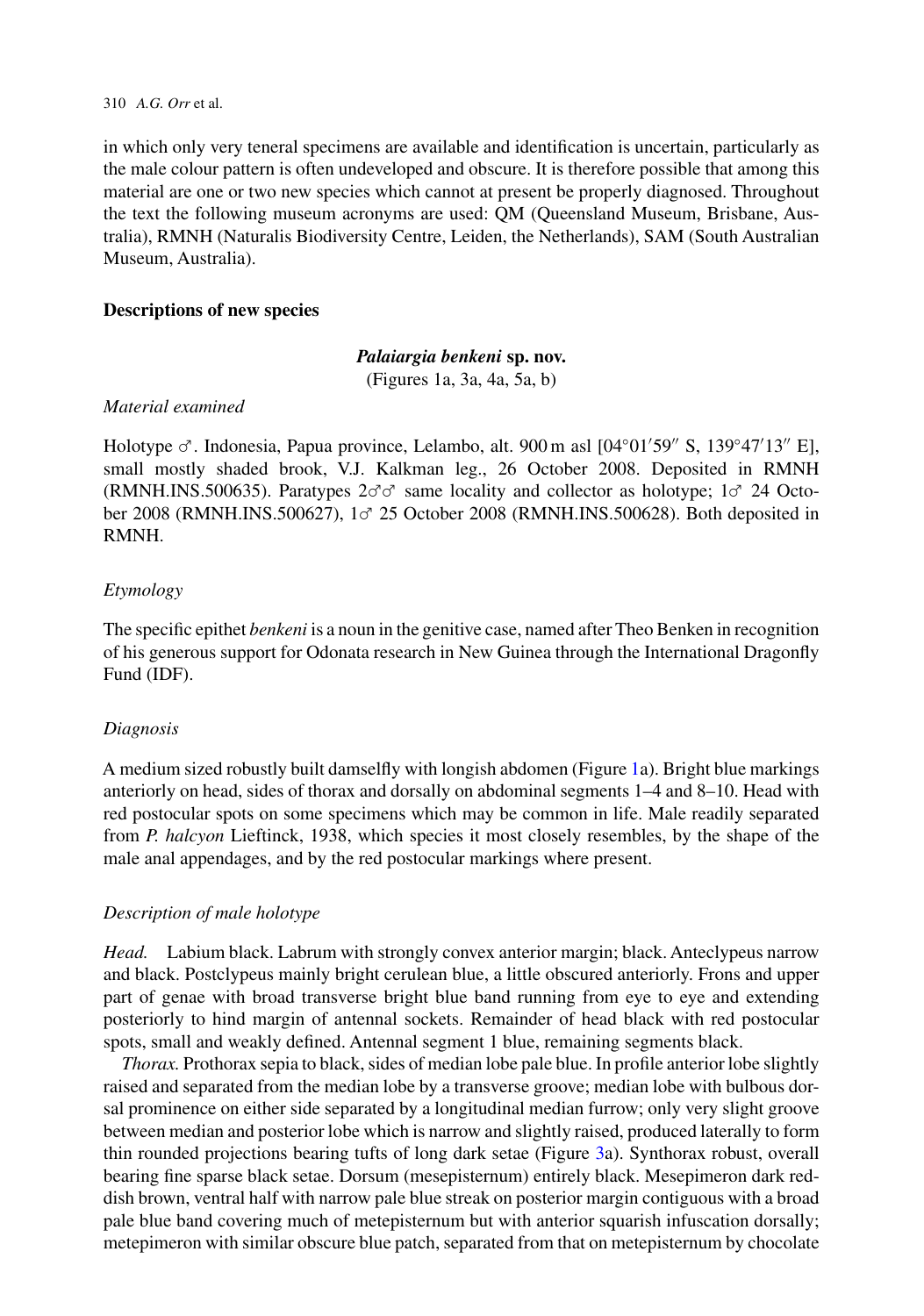in which only very teneral specimens are available and identification is uncertain, particularly as the male colour pattern is often undeveloped and obscure. It is therefore possible that among this material are one or two new species which cannot at present be properly diagnosed. Throughout the text the following museum acronyms are used: QM (Queensland Museum, Brisbane, Australia), RMNH (Naturalis Biodiversity Centre, Leiden, the Netherlands), SAM (South Australian Museum, Australia).

# **Descriptions of new species**

# *Palaiargia benkeni* **sp. nov.**

(Figures 1a, 3a, 4a, 5a, b)

# *Material examined*

Holotype  $\sigma$ . Indonesia, Papua province, Lelambo, alt. 900 m asl  $[04°01'59''$  S,  $139°47'13''$  El, small mostly shaded brook, V.J. Kalkman leg., 26 October 2008. Deposited in RMNH (RMNH.INS.500635). Paratypes  $2 \sigma \sigma$  same locality and collector as holotype; 1 $\sigma$  24 October 2008 (RMNH.INS.500627), 1♂ 25 October 2008 (RMNH.INS.500628). Both deposited in RMNH.

# *Etymology*

The specific epithet *benkeni* is a noun in the genitive case, named after Theo Benken in recognition of his generous support for Odonata research in New Guinea through the International Dragonfly Fund (IDF).

# *Diagnosis*

A medium sized robustly built damselfly with longish abdomen (Figure [1a](#page-2-0)). Bright blue markings anteriorly on head, sides of thorax and dorsally on abdominal segments 1–4 and 8–10. Head with red postocular spots on some specimens which may be common in life. Male readily separated from *P. halcyon* Lieftinck, 1938, which species it most closely resembles, by the shape of the male anal appendages, and by the red postocular markings where present.

# *Description of male holotype*

*Head.* Labium black. Labrum with strongly convex anterior margin; black. Anteclypeus narrow and black. Postclypeus mainly bright cerulean blue, a little obscured anteriorly. Frons and upper part of genae with broad transverse bright blue band running from eye to eye and extending posteriorly to hind margin of antennal sockets. Remainder of head black with red postocular spots, small and weakly defined. Antennal segment 1 blue, remaining segments black.

*Thorax.* Prothorax sepia to black, sides of median lobe pale blue. In profile anterior lobe slightly raised and separated from the median lobe by a transverse groove; median lobe with bulbous dorsal prominence on either side separated by a longitudinal median furrow; only very slight groove between median and posterior lobe which is narrow and slightly raised, produced laterally to form thin rounded projections bearing tufts of long dark setae (Figure [3a](#page-4-0)). Synthorax robust, overall bearing fine sparse black setae. Dorsum (mesepisternum) entirely black. Mesepimeron dark reddish brown, ventral half with narrow pale blue streak on posterior margin contiguous with a broad pale blue band covering much of metepisternum but with anterior squarish infuscation dorsally; metepimeron with similar obscure blue patch, separated from that on metepisternum by chocolate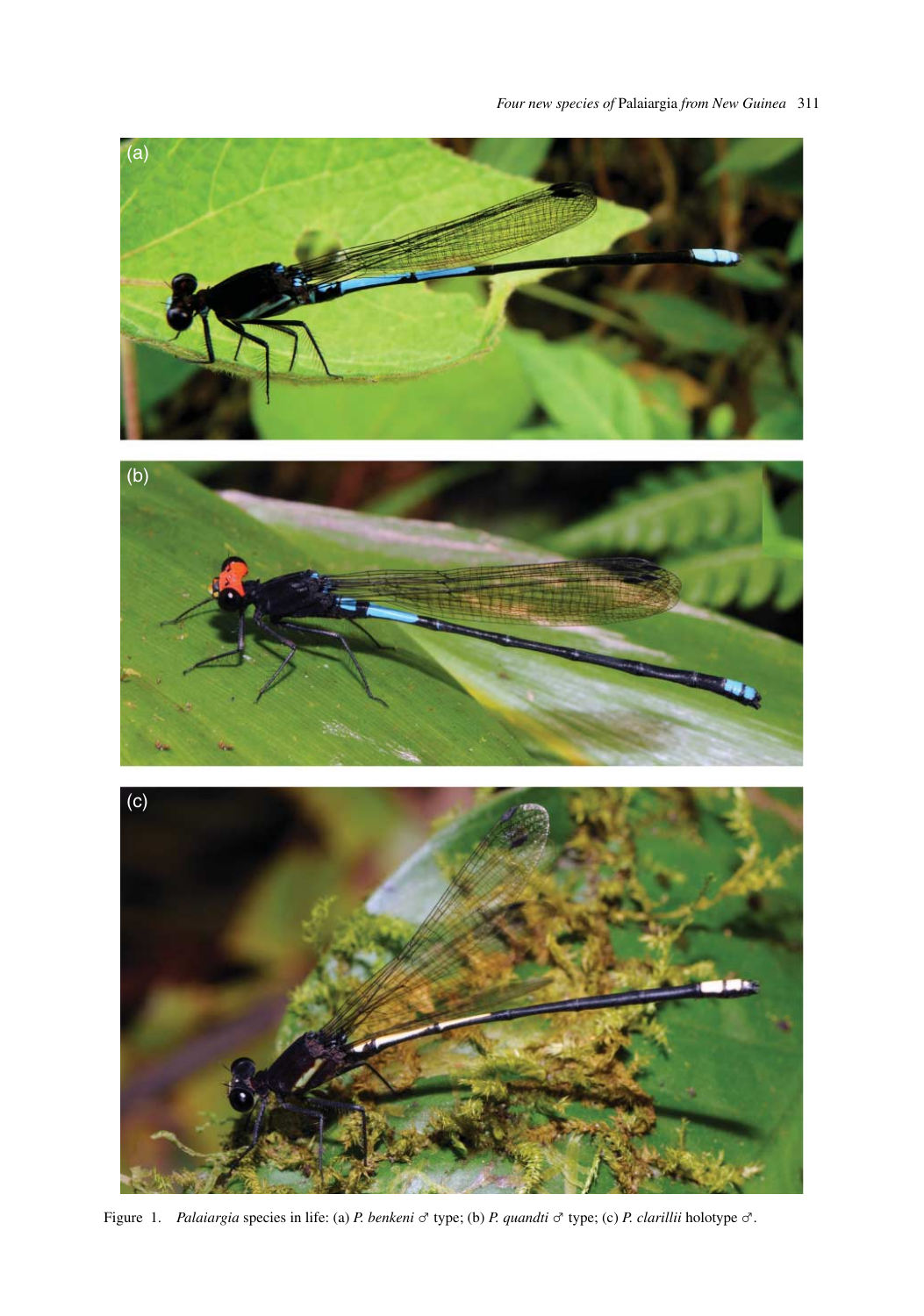<span id="page-2-0"></span>

Figure 1. *Palaiargia* species in life: (a) *P. benkeni* ♂ type; (b) *P. quandti* ♂ type; (c) *P. clarillii* holotype ♂.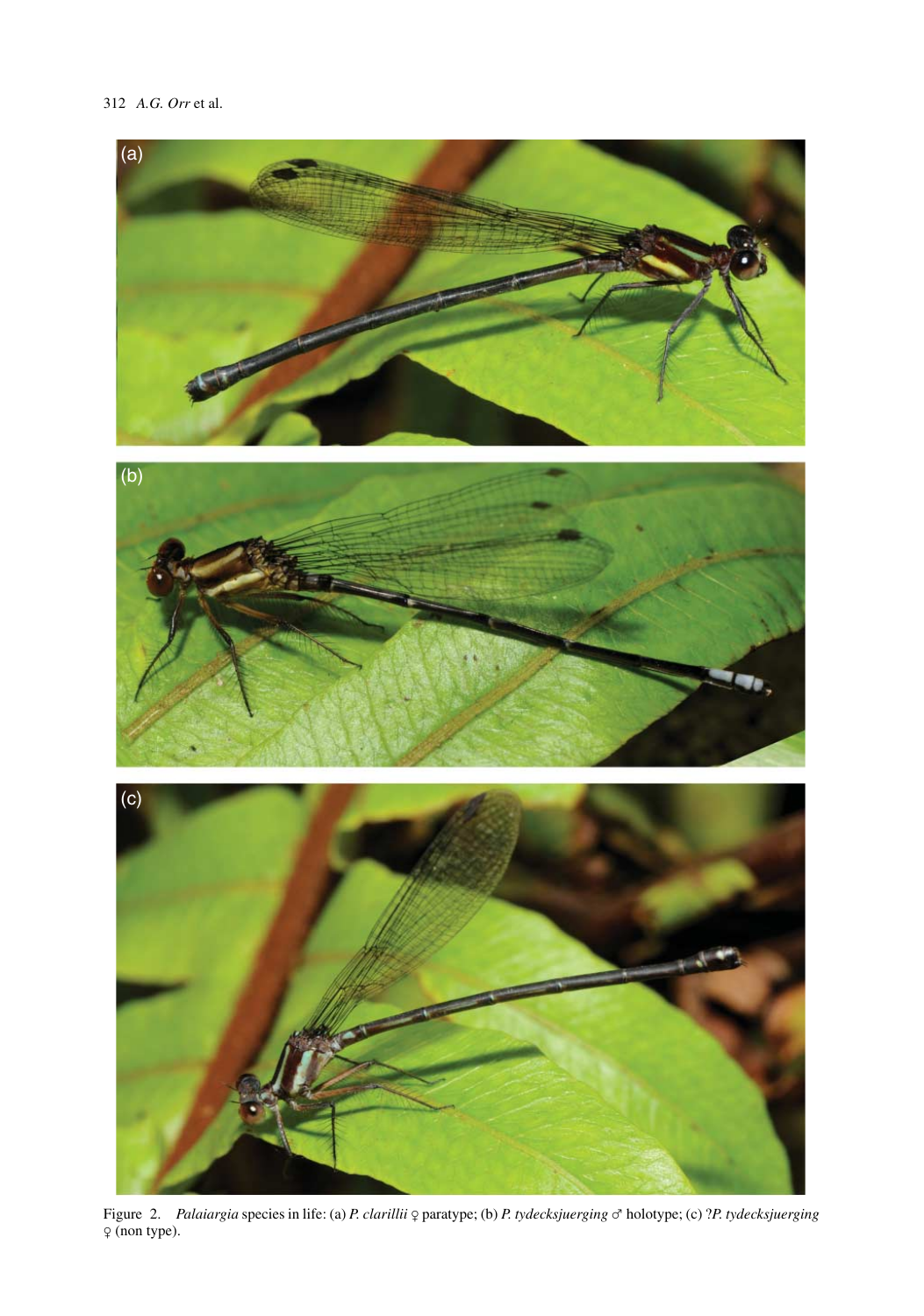<span id="page-3-0"></span>

Figure 2. *Palaiargia* species in life: (a) *P. clarillii* ♀ paratype; (b) *P. tydecksjuerging* ♂ holotype; (c) ?*P. tydecksjuerging* ♀ (non type).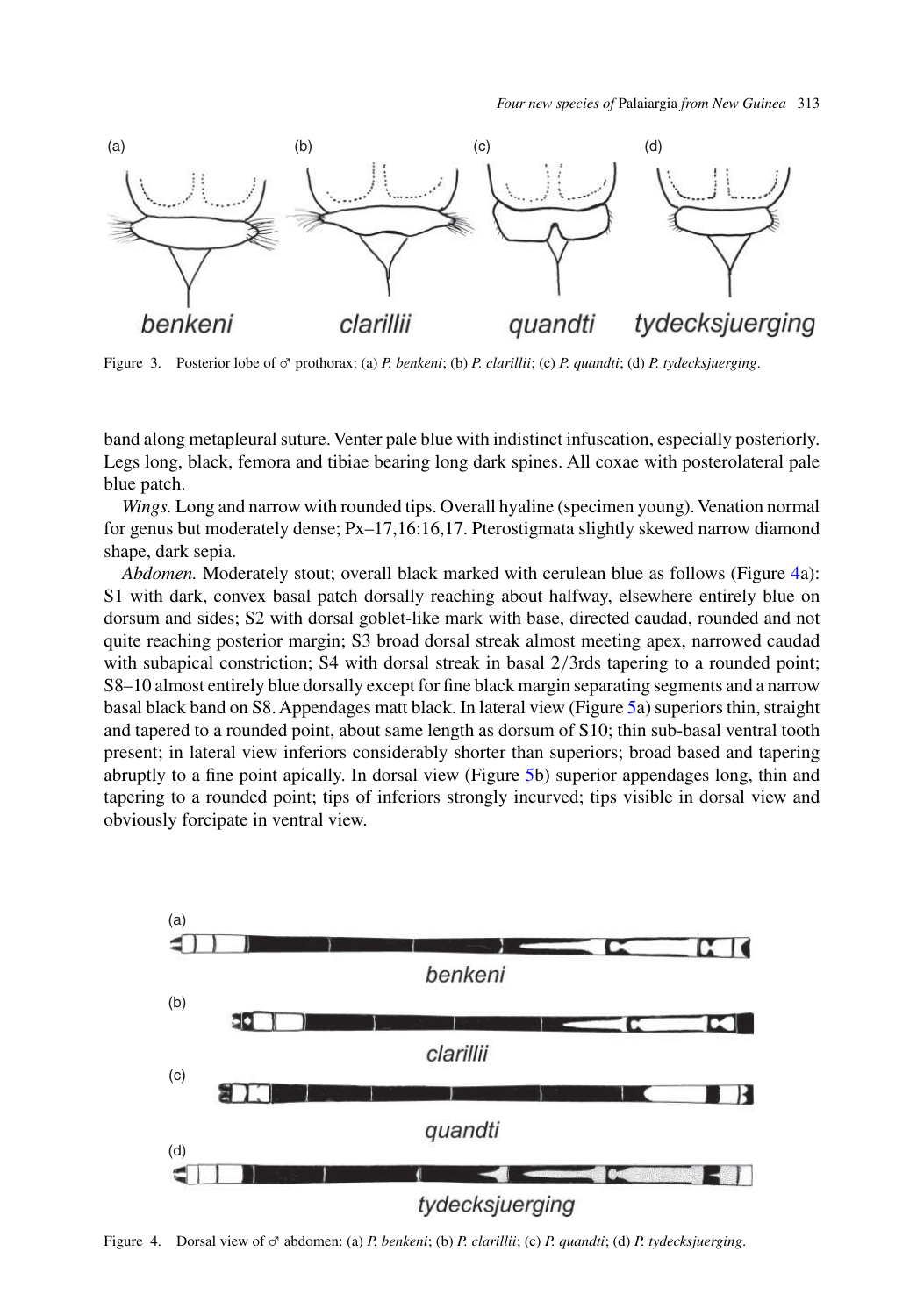<span id="page-4-0"></span>

Figure 3. Posterior lobe of ♂ prothorax: (a) *P. benkeni*; (b) *P. clarillii*; (c) *P. quandti*; (d) *P. tydecksjuerging*.

band along metapleural suture. Venter pale blue with indistinct infuscation, especially posteriorly. Legs long, black, femora and tibiae bearing long dark spines. All coxae with posterolateral pale blue patch.

*Wings.* Long and narrow with rounded tips. Overall hyaline (specimen young). Venation normal for genus but moderately dense; Px–17,16:16,17. Pterostigmata slightly skewed narrow diamond shape, dark sepia.

*Abdomen.* Moderately stout; overall black marked with cerulean blue as follows (Figure 4a): S1 with dark, convex basal patch dorsally reaching about halfway, elsewhere entirely blue on dorsum and sides; S2 with dorsal goblet-like mark with base, directed caudad, rounded and not quite reaching posterior margin; S3 broad dorsal streak almost meeting apex, narrowed caudad with subapical constriction; S4 with dorsal streak in basal  $2/3$ rds tapering to a rounded point; S8–10 almost entirely blue dorsally except for fine black margin separating segments and a narrow basal black band on S8. Appendages matt black. In lateral view (Figure [5a](#page-5-0)) superiors thin, straight and tapered to a rounded point, about same length as dorsum of S10; thin sub-basal ventral tooth present; in lateral view inferiors considerably shorter than superiors; broad based and tapering abruptly to a fine point apically. In dorsal view (Figure [5b](#page-5-0)) superior appendages long, thin and tapering to a rounded point; tips of inferiors strongly incurved; tips visible in dorsal view and obviously forcipate in ventral view.



Figure 4. Dorsal view of ♂ abdomen: (a) *P. benkeni*; (b) *P. clarillii*; (c) *P. quandti*; (d) *P. tydecksjuerging*.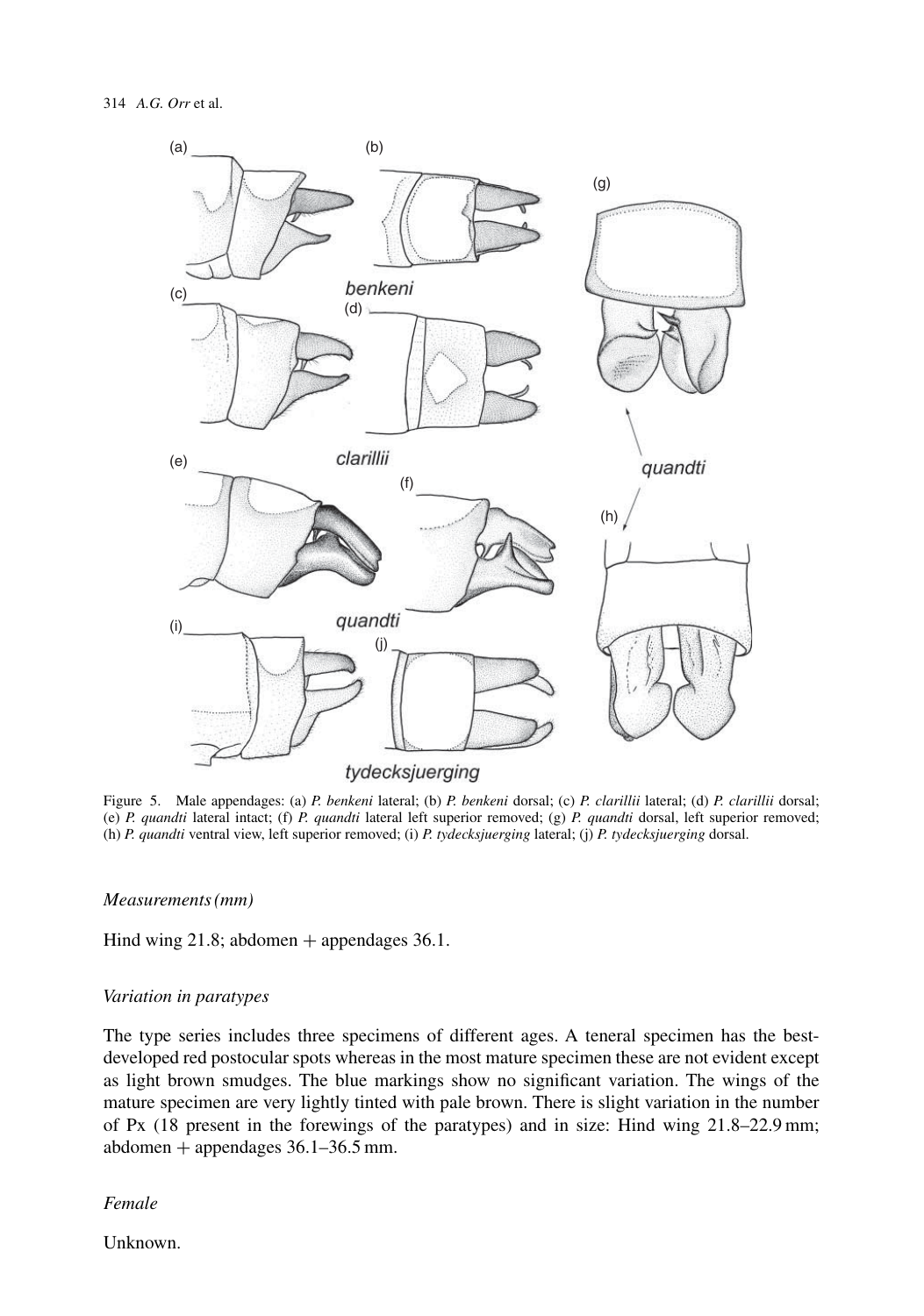<span id="page-5-0"></span>

Figure 5. Male appendages: (a) *P. benkeni* lateral; (b) *P. benkeni* dorsal; (c) *P. clarillii* lateral; (d) *P. clarillii* dorsal; (e) *P. quandti* lateral intact; (f) *P. quandti* lateral left superior removed; (g) *P. quandti* dorsal, left superior removed; (h) *P. quandti* ventral view, left superior removed; (i) *P. tydecksjuerging* lateral; (j) *P. tydecksjuerging* dorsal.

# *Measurements (mm)*

Hind wing 21.8; abdomen  $+$  appendages 36.1.

# *Variation in paratypes*

The type series includes three specimens of different ages. A teneral specimen has the bestdeveloped red postocular spots whereas in the most mature specimen these are not evident except as light brown smudges. The blue markings show no significant variation. The wings of the mature specimen are very lightly tinted with pale brown. There is slight variation in the number of Px (18 present in the forewings of the paratypes) and in size: Hind wing 21.8–22.9 mm; abdomen  $+$  appendages 36.1–36.5 mm.

*Female*

Unknown.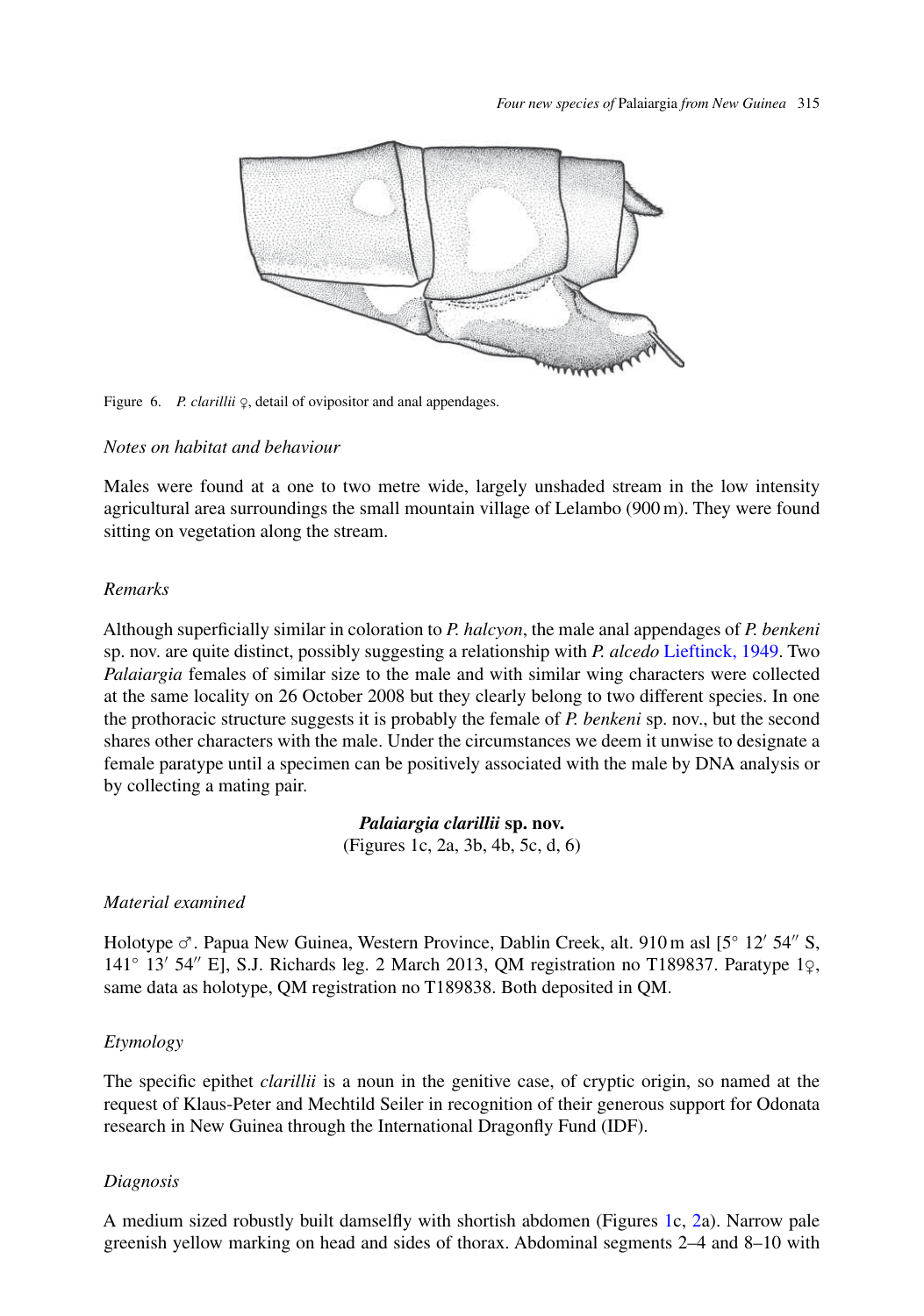<span id="page-6-0"></span>

Figure 6. *P. clarillii* ♀, detail of ovipositor and anal appendages.

# *Notes on habitat and behaviour*

Males were found at a one to two metre wide, largely unshaded stream in the low intensity agricultural area surroundings the small mountain village of Lelambo (900 m). They were found sitting on vegetation along the stream.

### *Remarks*

Although superficially similar in coloration to *P. halcyon*, the male anal appendages of *P. benkeni* sp. nov. are quite distinct, possibly suggesting a relationship with *P. alcedo* [Lieftinck, 1949.](#page-16-0) Two *Palaiargia* females of similar size to the male and with similar wing characters were collected at the same locality on 26 October 2008 but they clearly belong to two different species. In one the prothoracic structure suggests it is probably the female of *P. benkeni* sp. nov., but the second shares other characters with the male. Under the circumstances we deem it unwise to designate a female paratype until a specimen can be positively associated with the male by DNA analysis or by collecting a mating pair.

> *Palaiargia clarillii* **sp. nov.** (Figures 1c, 2a, 3b, 4b, 5c, d, 6)

# *Material examined*

Holotype  $\sigma$ . Papua New Guinea, Western Province, Dablin Creek, alt. 910 m asl [5° 12′ 54″ S,  $141° 13' 54''$  E], S.J. Richards leg. 2 March 2013, QM registration no T189837. Paratype 1 $\Omega$ , same data as holotype, QM registration no T189838. Both deposited in QM.

### *Etymology*

The specific epithet *clarillii* is a noun in the genitive case, of cryptic origin, so named at the request of Klaus-Peter and Mechtild Seiler in recognition of their generous support for Odonata research in New Guinea through the International Dragonfly Fund (IDF).

# *Diagnosis*

A medium sized robustly built damselfly with shortish abdomen (Figures [1c](#page-2-0), [2a](#page-3-0)). Narrow pale greenish yellow marking on head and sides of thorax. Abdominal segments 2–4 and 8–10 with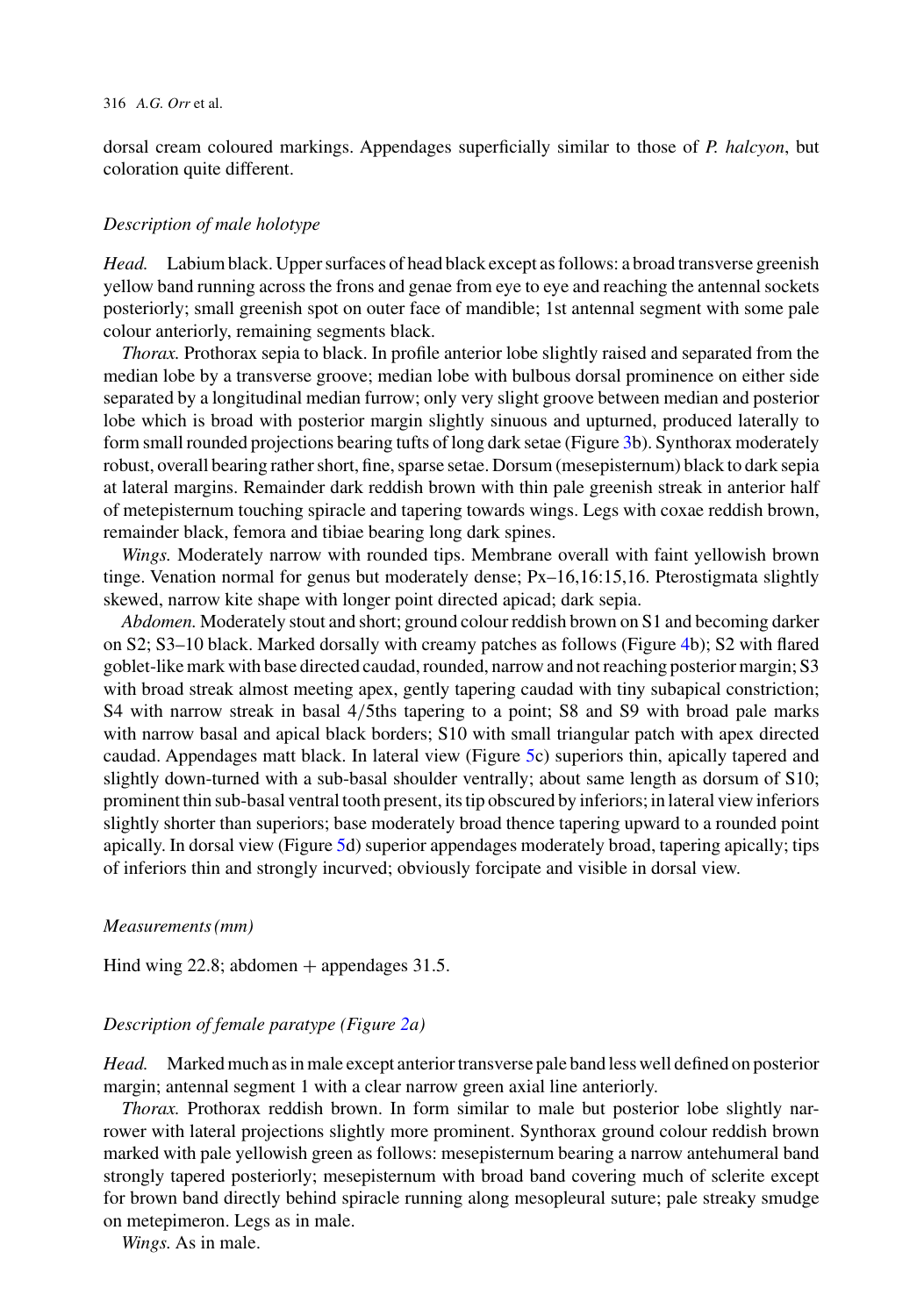dorsal cream coloured markings. Appendages superficially similar to those of *P. halcyon*, but coloration quite different.

#### *Description of male holotype*

*Head.* Labium black. Upper surfaces of head black except as follows: a broad transverse greenish yellow band running across the frons and genae from eye to eye and reaching the antennal sockets posteriorly; small greenish spot on outer face of mandible; 1st antennal segment with some pale colour anteriorly, remaining segments black.

*Thorax.* Prothorax sepia to black. In profile anterior lobe slightly raised and separated from the median lobe by a transverse groove; median lobe with bulbous dorsal prominence on either side separated by a longitudinal median furrow; only very slight groove between median and posterior lobe which is broad with posterior margin slightly sinuous and upturned, produced laterally to form small rounded projections bearing tufts of long dark setae (Figure [3b](#page-4-0)). Synthorax moderately robust, overall bearing rather short, fine, sparse setae. Dorsum (mesepisternum) black to dark sepia at lateral margins. Remainder dark reddish brown with thin pale greenish streak in anterior half of metepisternum touching spiracle and tapering towards wings. Legs with coxae reddish brown, remainder black, femora and tibiae bearing long dark spines.

*Wings.* Moderately narrow with rounded tips. Membrane overall with faint yellowish brown tinge. Venation normal for genus but moderately dense; Px–16,16:15,16. Pterostigmata slightly skewed, narrow kite shape with longer point directed apicad; dark sepia.

*Abdomen.* Moderately stout and short; ground colour reddish brown on S1 and becoming darker on S2; S3–10 black. Marked dorsally with creamy patches as follows (Figure [4b](#page-4-0)); S2 with flared goblet-like mark with base directed caudad, rounded, narrow and not reaching posterior margin; S3 with broad streak almost meeting apex, gently tapering caudad with tiny subapical constriction; S4 with narrow streak in basal 4*/*5ths tapering to a point; S8 and S9 with broad pale marks with narrow basal and apical black borders; S10 with small triangular patch with apex directed caudad. Appendages matt black. In lateral view (Figure [5c](#page-5-0)) superiors thin, apically tapered and slightly down-turned with a sub-basal shoulder ventrally; about same length as dorsum of S10; prominent thin sub-basal ventral tooth present, its tip obscured by inferiors; in lateral view inferiors slightly shorter than superiors; base moderately broad thence tapering upward to a rounded point apically. In dorsal view (Figure [5d](#page-5-0)) superior appendages moderately broad, tapering apically; tips of inferiors thin and strongly incurved; obviously forcipate and visible in dorsal view.

#### *Measurements (mm)*

Hind wing  $22.8$ ; abdomen  $+$  appendages  $31.5$ .

# *Description of female paratype (Figure [2a](#page-3-0))*

*Head.* Marked much as in male except anterior transverse pale band less well defined on posterior margin; antennal segment 1 with a clear narrow green axial line anteriorly.

*Thorax.* Prothorax reddish brown. In form similar to male but posterior lobe slightly narrower with lateral projections slightly more prominent. Synthorax ground colour reddish brown marked with pale yellowish green as follows: mesepisternum bearing a narrow antehumeral band strongly tapered posteriorly; mesepisternum with broad band covering much of sclerite except for brown band directly behind spiracle running along mesopleural suture; pale streaky smudge on metepimeron. Legs as in male.

*Wings.* As in male.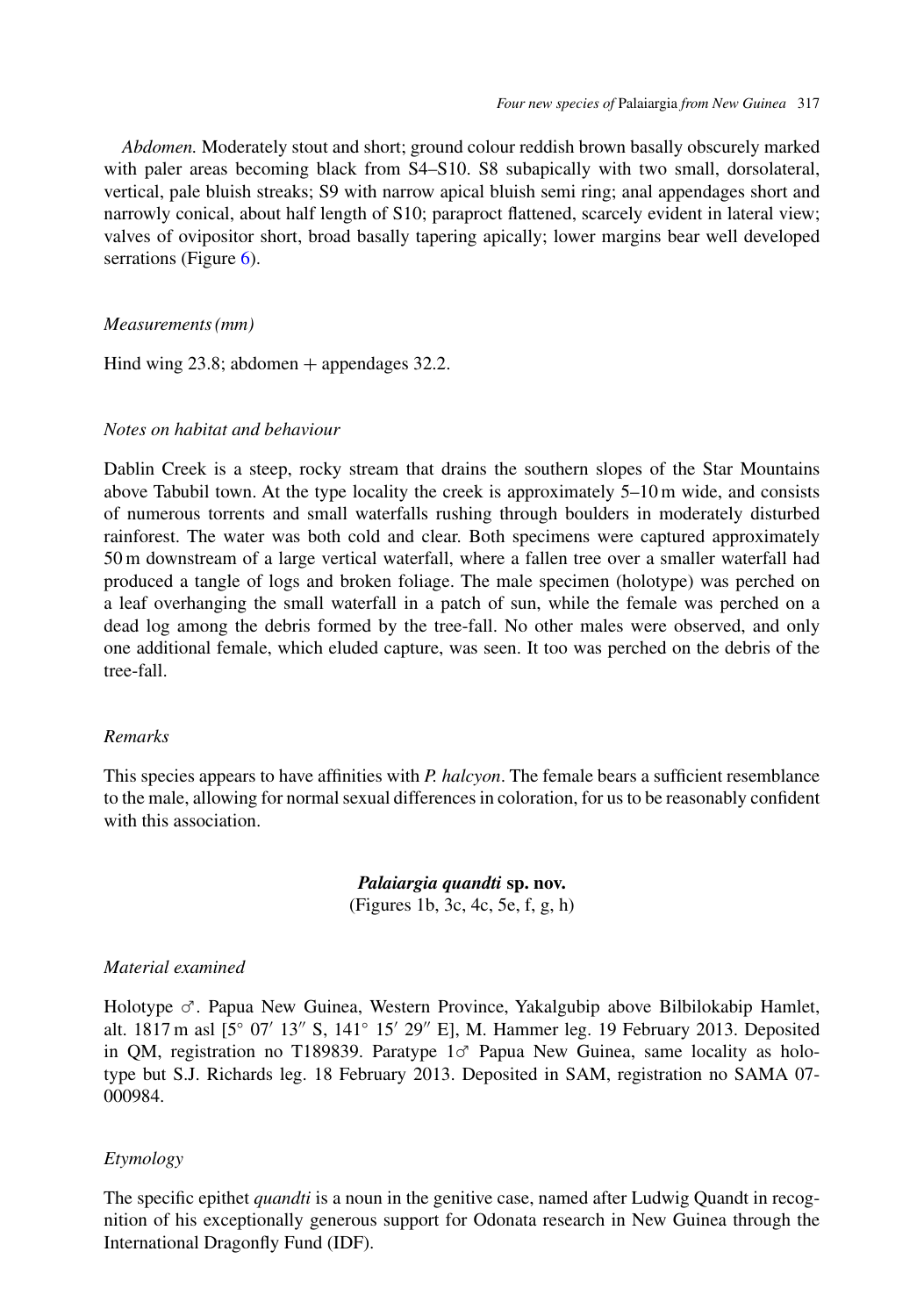*Abdomen.* Moderately stout and short; ground colour reddish brown basally obscurely marked with paler areas becoming black from S4–S10. S8 subapically with two small, dorsolateral, vertical, pale bluish streaks; S9 with narrow apical bluish semi ring; anal appendages short and narrowly conical, about half length of S10; paraproct flattened, scarcely evident in lateral view; valves of ovipositor short, broad basally tapering apically; lower margins bear well developed serrations (Figure [6\)](#page-6-0).

### *Measurements (mm)*

Hind wing  $23.8$ ; abdomen  $+$  appendages  $32.2$ .

# *Notes on habitat and behaviour*

Dablin Creek is a steep, rocky stream that drains the southern slopes of the Star Mountains above Tabubil town. At the type locality the creek is approximately 5–10 m wide, and consists of numerous torrents and small waterfalls rushing through boulders in moderately disturbed rainforest. The water was both cold and clear. Both specimens were captured approximately 50 m downstream of a large vertical waterfall, where a fallen tree over a smaller waterfall had produced a tangle of logs and broken foliage. The male specimen (holotype) was perched on a leaf overhanging the small waterfall in a patch of sun, while the female was perched on a dead log among the debris formed by the tree-fall. No other males were observed, and only one additional female, which eluded capture, was seen. It too was perched on the debris of the tree-fall.

# *Remarks*

This species appears to have affinities with *P. halcyon*. The female bears a sufficient resemblance to the male, allowing for normal sexual differences in coloration, for us to be reasonably confident with this association.

> *Palaiargia quandti* **sp. nov.** (Figures 1b, 3c, 4c, 5e, f, g, h)

# *Material examined*

Holotype ♂. Papua New Guinea, Western Province, Yakalgubip above Bilbilokabip Hamlet, alt. 1817 m asl [5° 07' 13" S, 141° 15' 29" E], M. Hammer leg. 19 February 2013. Deposited in QM, registration no T189839. Paratype  $1 \sigma$  Papua New Guinea, same locality as holotype but S.J. Richards leg. 18 February 2013. Deposited in SAM, registration no SAMA 07- 000984.

# *Etymology*

The specific epithet *quandti* is a noun in the genitive case, named after Ludwig Quandt in recognition of his exceptionally generous support for Odonata research in New Guinea through the International Dragonfly Fund (IDF).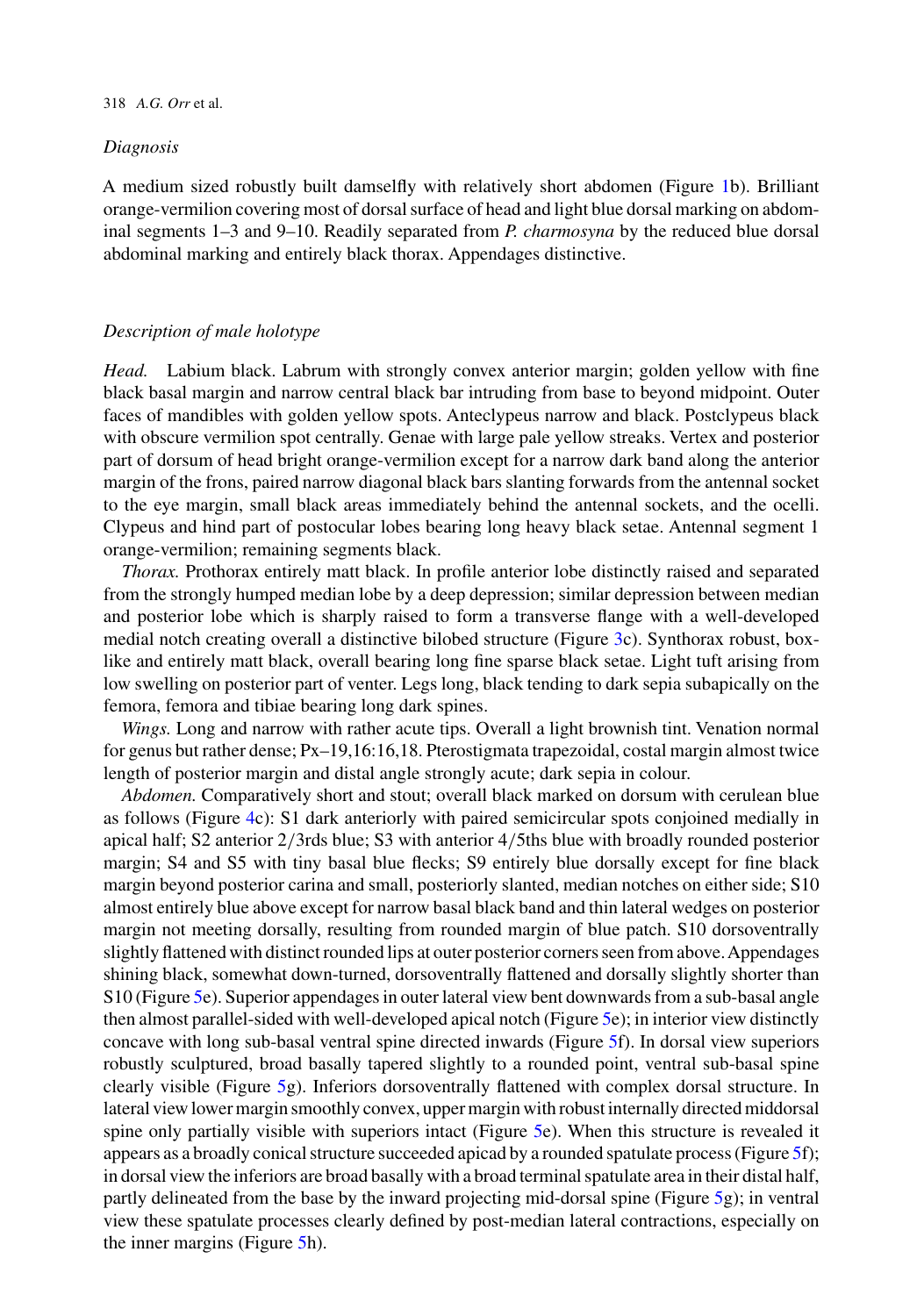#### *Diagnosis*

A medium sized robustly built damselfly with relatively short abdomen (Figure [1b](#page-2-0)). Brilliant orange-vermilion covering most of dorsal surface of head and light blue dorsal marking on abdominal segments 1–3 and 9–10. Readily separated from *P. charmosyna* by the reduced blue dorsal abdominal marking and entirely black thorax. Appendages distinctive.

# *Description of male holotype*

*Head.* Labium black. Labrum with strongly convex anterior margin; golden yellow with fine black basal margin and narrow central black bar intruding from base to beyond midpoint. Outer faces of mandibles with golden yellow spots. Anteclypeus narrow and black. Postclypeus black with obscure vermilion spot centrally. Genae with large pale yellow streaks. Vertex and posterior part of dorsum of head bright orange-vermilion except for a narrow dark band along the anterior margin of the frons, paired narrow diagonal black bars slanting forwards from the antennal socket to the eye margin, small black areas immediately behind the antennal sockets, and the ocelli. Clypeus and hind part of postocular lobes bearing long heavy black setae. Antennal segment 1 orange-vermilion; remaining segments black.

*Thorax.* Prothorax entirely matt black. In profile anterior lobe distinctly raised and separated from the strongly humped median lobe by a deep depression; similar depression between median and posterior lobe which is sharply raised to form a transverse flange with a well-developed medial notch creating overall a distinctive bilobed structure (Figure [3c](#page-4-0)). Synthorax robust, boxlike and entirely matt black, overall bearing long fine sparse black setae. Light tuft arising from low swelling on posterior part of venter. Legs long, black tending to dark sepia subapically on the femora, femora and tibiae bearing long dark spines.

*Wings.* Long and narrow with rather acute tips. Overall a light brownish tint. Venation normal for genus but rather dense; Px–19,16:16,18. Pterostigmata trapezoidal, costal margin almost twice length of posterior margin and distal angle strongly acute; dark sepia in colour.

*Abdomen.* Comparatively short and stout; overall black marked on dorsum with cerulean blue as follows (Figure [4c](#page-4-0)): S1 dark anteriorly with paired semicircular spots conjoined medially in apical half; S2 anterior 2*/*3rds blue; S3 with anterior 4*/*5ths blue with broadly rounded posterior margin; S4 and S5 with tiny basal blue flecks; S9 entirely blue dorsally except for fine black margin beyond posterior carina and small, posteriorly slanted, median notches on either side; S10 almost entirely blue above except for narrow basal black band and thin lateral wedges on posterior margin not meeting dorsally, resulting from rounded margin of blue patch. S10 dorsoventrally slightly flattened with distinct rounded lips at outer posterior corners seen from above.Appendages shining black, somewhat down-turned, dorsoventrally flattened and dorsally slightly shorter than S10 (Figure [5e](#page-5-0)). Superior appendages in outer lateral view bent downwards from a sub-basal angle then almost parallel-sided with well-developed apical notch (Figure [5e](#page-5-0)); in interior view distinctly concave with long sub-basal ventral spine directed inwards (Figure [5f](#page-5-0)). In dorsal view superiors robustly sculptured, broad basally tapered slightly to a rounded point, ventral sub-basal spine clearly visible (Figure [5g](#page-5-0)). Inferiors dorsoventrally flattened with complex dorsal structure. In lateral view lower margin smoothly convex, upper margin with robust internally directed middorsal spine only partially visible with superiors intact (Figure [5e](#page-5-0)). When this structure is revealed it appears as a broadly conical structure succeeded apicad by a rounded spatulate process (Figure [5f](#page-5-0)); in dorsal view the inferiors are broad basally with a broad terminal spatulate area in their distal half, partly delineated from the base by the inward projecting mid-dorsal spine (Figure [5g](#page-5-0)); in ventral view these spatulate processes clearly defined by post-median lateral contractions, especially on the inner margins (Figure [5h](#page-5-0)).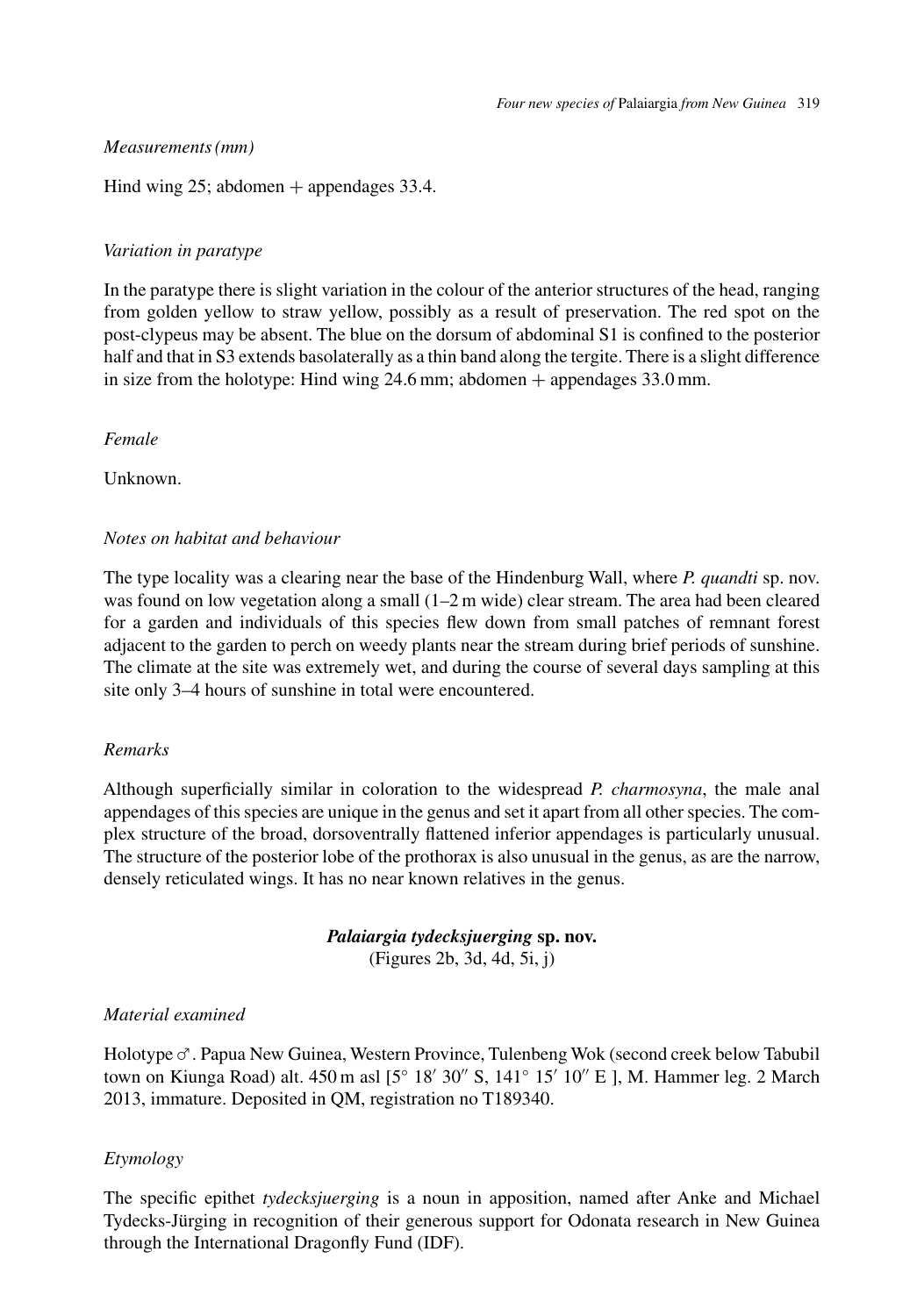# *Measurements (mm)*

Hind wing  $25$ ; abdomen  $+$  appendages 33.4.

# *Variation in paratype*

In the paratype there is slight variation in the colour of the anterior structures of the head, ranging from golden yellow to straw yellow, possibly as a result of preservation. The red spot on the post-clypeus may be absent. The blue on the dorsum of abdominal S1 is confined to the posterior half and that in S3 extends basolaterally as a thin band along the tergite. There is a slight difference in size from the holotype: Hind wing  $24.6$  mm; abdomen  $+$  appendages  $33.0$  mm.

*Female*

Unknown.

### *Notes on habitat and behaviour*

The type locality was a clearing near the base of the Hindenburg Wall, where *P. quandti* sp. nov. was found on low vegetation along a small (1–2 m wide) clear stream. The area had been cleared for a garden and individuals of this species flew down from small patches of remnant forest adjacent to the garden to perch on weedy plants near the stream during brief periods of sunshine. The climate at the site was extremely wet, and during the course of several days sampling at this site only 3–4 hours of sunshine in total were encountered.

### *Remarks*

Although superficially similar in coloration to the widespread *P. charmosyna*, the male anal appendages of this species are unique in the genus and set it apart from all other species. The complex structure of the broad, dorsoventrally flattened inferior appendages is particularly unusual. The structure of the posterior lobe of the prothorax is also unusual in the genus, as are the narrow, densely reticulated wings. It has no near known relatives in the genus.

# *Palaiargia tydecksjuerging* **sp. nov.**

(Figures 2b, 3d, 4d, 5i, j)

# *Material examined*

Holotype ♂. Papua New Guinea, Western Province, Tulenbeng Wok (second creek below Tabubil town on Kiunga Road) alt.  $450 \text{ m}$  asl  $[5^{\circ} 18' 30'' S, 141^{\circ} 15' 10'' E]$ , M. Hammer leg. 2 March 2013, immature. Deposited in QM, registration no T189340.

# *Etymology*

The specific epithet *tydecksjuerging* is a noun in apposition, named after Anke and Michael Tydecks-Jürging in recognition of their generous support for Odonata research in New Guinea through the International Dragonfly Fund (IDF).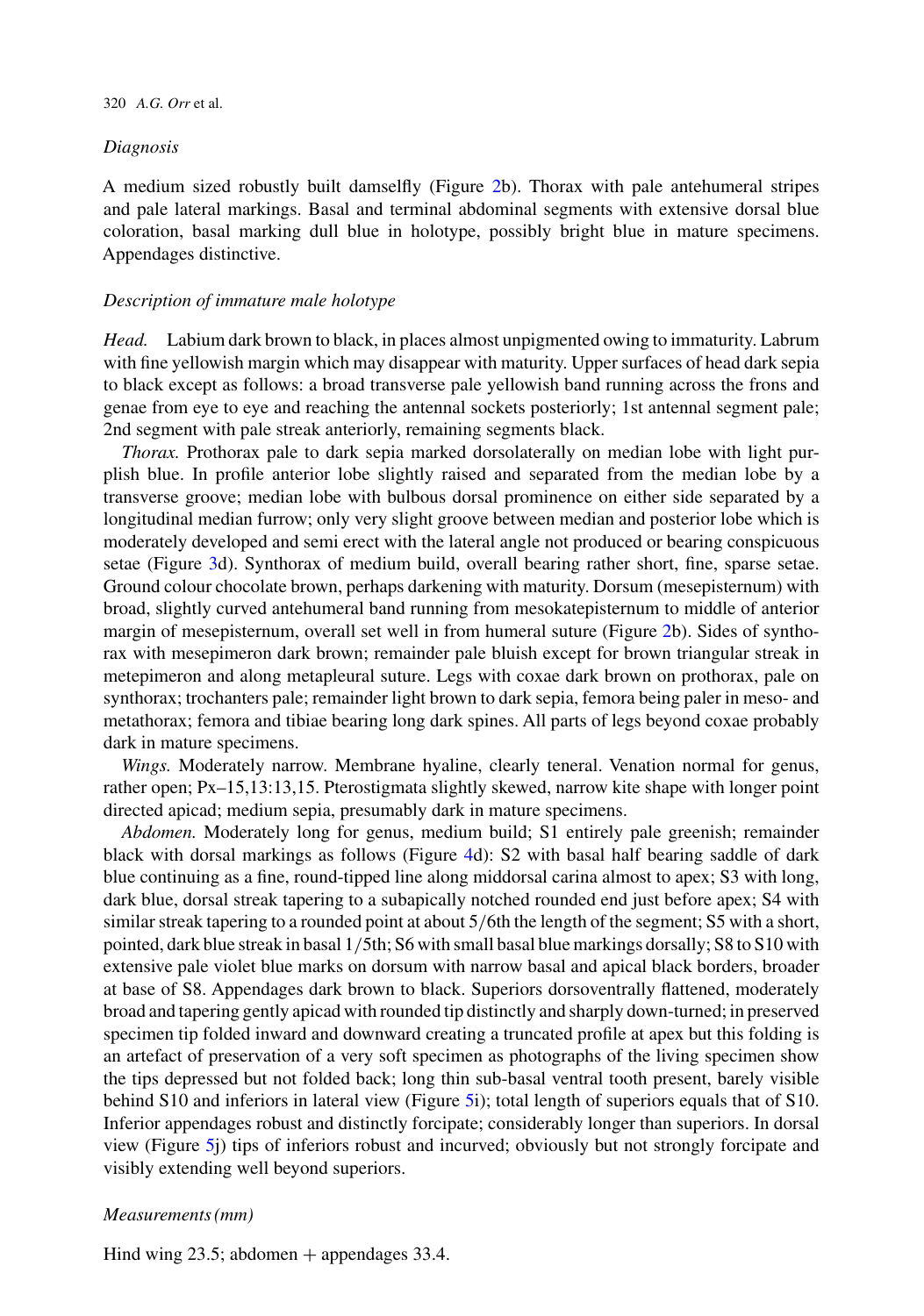#### *Diagnosis*

A medium sized robustly built damselfly (Figure [2b](#page-3-0)). Thorax with pale antehumeral stripes and pale lateral markings. Basal and terminal abdominal segments with extensive dorsal blue coloration, basal marking dull blue in holotype, possibly bright blue in mature specimens. Appendages distinctive.

#### *Description of immature male holotype*

*Head.* Labium dark brown to black, in places almost unpigmented owing to immaturity. Labrum with fine yellowish margin which may disappear with maturity. Upper surfaces of head dark sepia to black except as follows: a broad transverse pale yellowish band running across the frons and genae from eye to eye and reaching the antennal sockets posteriorly; 1st antennal segment pale; 2nd segment with pale streak anteriorly, remaining segments black.

*Thorax.* Prothorax pale to dark sepia marked dorsolaterally on median lobe with light purplish blue. In profile anterior lobe slightly raised and separated from the median lobe by a transverse groove; median lobe with bulbous dorsal prominence on either side separated by a longitudinal median furrow; only very slight groove between median and posterior lobe which is moderately developed and semi erect with the lateral angle not produced or bearing conspicuous setae (Figure [3d](#page-4-0)). Synthorax of medium build, overall bearing rather short, fine, sparse setae. Ground colour chocolate brown, perhaps darkening with maturity. Dorsum (mesepisternum) with broad, slightly curved antehumeral band running from mesokatepisternum to middle of anterior margin of mesepisternum, overall set well in from humeral suture (Figure [2b](#page-3-0)). Sides of synthorax with mesepimeron dark brown; remainder pale bluish except for brown triangular streak in metepimeron and along metapleural suture. Legs with coxae dark brown on prothorax, pale on synthorax; trochanters pale; remainder light brown to dark sepia, femora being paler in meso- and metathorax; femora and tibiae bearing long dark spines. All parts of legs beyond coxae probably dark in mature specimens.

*Wings.* Moderately narrow. Membrane hyaline, clearly teneral. Venation normal for genus, rather open; Px–15,13:13,15. Pterostigmata slightly skewed, narrow kite shape with longer point directed apicad; medium sepia, presumably dark in mature specimens.

*Abdomen.* Moderately long for genus, medium build; S1 entirely pale greenish; remainder black with dorsal markings as follows (Figure [4d](#page-4-0)): S2 with basal half bearing saddle of dark blue continuing as a fine, round-tipped line along middorsal carina almost to apex; S3 with long, dark blue, dorsal streak tapering to a subapically notched rounded end just before apex; S4 with similar streak tapering to a rounded point at about 5*/*6th the length of the segment; S5 with a short, pointed, dark blue streak in basal 1*/*5th; S6 with small basal blue markings dorsally; S8 to S10 with extensive pale violet blue marks on dorsum with narrow basal and apical black borders, broader at base of S8. Appendages dark brown to black. Superiors dorsoventrally flattened, moderately broad and tapering gently apicad with rounded tip distinctly and sharply down-turned; in preserved specimen tip folded inward and downward creating a truncated profile at apex but this folding is an artefact of preservation of a very soft specimen as photographs of the living specimen show the tips depressed but not folded back; long thin sub-basal ventral tooth present, barely visible behind S10 and inferiors in lateral view (Figure [5i](#page-5-0)); total length of superiors equals that of S10. Inferior appendages robust and distinctly forcipate; considerably longer than superiors. In dorsal view (Figure [5j](#page-5-0)) tips of inferiors robust and incurved; obviously but not strongly forcipate and visibly extending well beyond superiors.

#### *Measurements (mm)*

Hind wing  $23.5$ ; abdomen  $+$  appendages 33.4.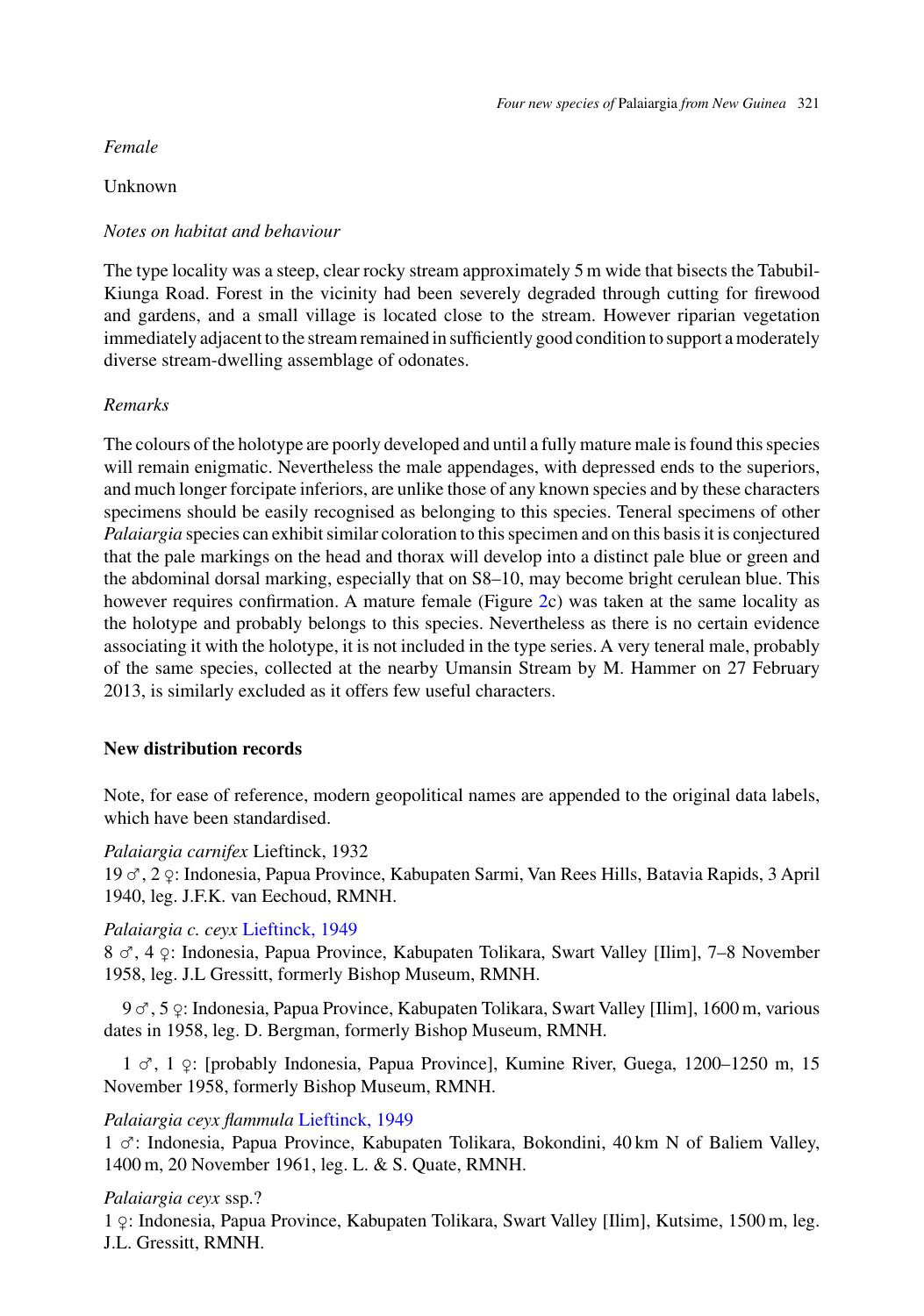# *Female*

# Unknown

# *Notes on habitat and behaviour*

The type locality was a steep, clear rocky stream approximately 5 m wide that bisects the Tabubil-Kiunga Road. Forest in the vicinity had been severely degraded through cutting for firewood and gardens, and a small village is located close to the stream. However riparian vegetation immediately adjacent to the stream remained in sufficiently good condition to support a moderately diverse stream-dwelling assemblage of odonates.

# *Remarks*

The colours of the holotype are poorly developed and until a fully mature male is found this species will remain enigmatic. Nevertheless the male appendages, with depressed ends to the superiors, and much longer forcipate inferiors, are unlike those of any known species and by these characters specimens should be easily recognised as belonging to this species. Teneral specimens of other *Palaiargia* species can exhibit similar coloration to this specimen and on this basis it is conjectured that the pale markings on the head and thorax will develop into a distinct pale blue or green and the abdominal dorsal marking, especially that on S8–10, may become bright cerulean blue. This however requires confirmation. A mature female (Figure [2c](#page-3-0)) was taken at the same locality as the holotype and probably belongs to this species. Nevertheless as there is no certain evidence associating it with the holotype, it is not included in the type series. A very teneral male, probably of the same species, collected at the nearby Umansin Stream by M. Hammer on 27 February 2013, is similarly excluded as it offers few useful characters.

# **New distribution records**

Note, for ease of reference, modern geopolitical names are appended to the original data labels, which have been standardised.

# *Palaiargia carnifex* Lieftinck, 1932

19 ✚, 2 ✙: Indonesia, Papua Province, Kabupaten Sarmi, Van Rees Hills, Batavia Rapids, 3 April 1940, leg. J.F.K. van Eechoud, RMNH.

# *Palaiargia c. ceyx* [Lieftinck, 1949](#page-16-0)

8 ✚, 4 ✙: Indonesia, Papua Province, Kabupaten Tolikara, Swart Valley [Ilim], 7–8 November 1958, leg. J.L Gressitt, formerly Bishop Museum, RMNH.

 $9 \text{°C}$ , 5  $\text{°C}$ : Indonesia, Papua Province, Kabupaten Tolikara, Swart Valley [Ilim], 1600 m, various dates in 1958, leg. D. Bergman, formerly Bishop Museum, RMNH.

 $1 \text{ } \sigma$ ,  $1 \text{ } \Omega$ : [probably Indonesia, Papua Province], Kumine River, Guega, 1200–1250 m, 15 November 1958, formerly Bishop Museum, RMNH.

# *Palaiargia ceyx flammula* [Lieftinck, 1949](#page-16-0)

1  $\sigma$ : Indonesia, Papua Province, Kabupaten Tolikara, Bokondini, 40 km N of Baliem Valley, 1400 m, 20 November 1961, leg. L. & S. Quate, RMNH.

# *Palaiargia ceyx* ssp.?

1 ç: Indonesia, Papua Province, Kabupaten Tolikara, Swart Valley [Ilim], Kutsime, 1500 m, leg. J.L. Gressitt, RMNH.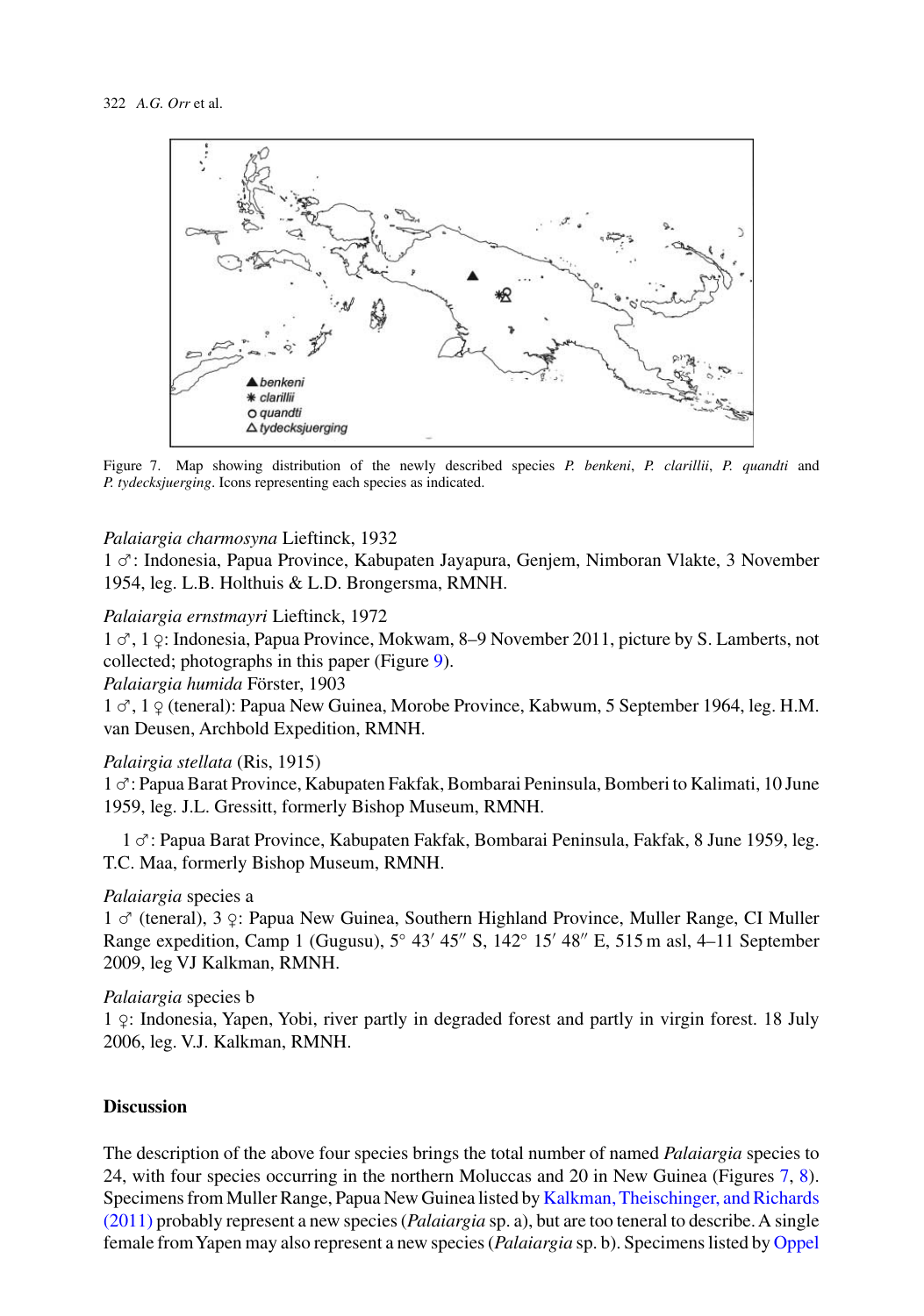

Figure 7. Map showing distribution of the newly described species *P. benkeni*, *P. clarillii*, *P. quandti* and *P. tydecksjuerging*. Icons representing each species as indicated.

# *Palaiargia charmosyna* Lieftinck, 1932

1  $\sigma$ : Indonesia, Papua Province, Kabupaten Jayapura, Genjem, Nimboran Vlakte, 3 November 1954, leg. L.B. Holthuis & L.D. Brongersma, RMNH.

### *Palaiargia ernstmayri* Lieftinck, 1972

1  $\sigma$ , 1  $\sigma$ : Indonesia, Papua Province, Mokwam, 8–9 November 2011, picture by S. Lamberts, not collected; photographs in this paper (Figure [9\)](#page-15-0).

### *Palaiargia humida* Förster, 1903

1 ♂, 1 ♀ (teneral): Papua New Guinea, Morobe Province, Kabwum, 5 September 1964, leg. H.M. van Deusen, Archbold Expedition, RMNH.

### *Palairgia stellata* (Ris, 1915)

1  $\sigma$ : Papua Barat Province, Kabupaten Fakfak, Bombarai Peninsula, Bomberi to Kalimati, 10 June 1959, leg. J.L. Gressitt, formerly Bishop Museum, RMNH.

1  $\sigma$ : Papua Barat Province, Kabupaten Fakfak, Bombarai Peninsula, Fakfak, 8 June 1959, leg. T.C. Maa, formerly Bishop Museum, RMNH.

# *Palaiargia* species a

1  $\sigma$  (teneral), 3  $\varphi$ : Papua New Guinea, Southern Highland Province, Muller Range, CI Muller Range expedition, Camp 1 (Gugusu),  $5^{\circ}$  43' 45" S,  $142^{\circ}$  15' 48" E, 515 m asl, 4–11 September 2009, leg VJ Kalkman, RMNH.

*Palaiargia* species b

1 ✙: Indonesia, Yapen, Yobi, river partly in degraded forest and partly in virgin forest. 18 July 2006, leg. V.J. Kalkman, RMNH.

# **Discussion**

The description of the above four species brings the total number of named *Palaiargia* species to 24, with four species occurring in the northern Moluccas and 20 in New Guinea (Figures 7, [8\)](#page-14-0). Specimens from Muller Range, Papua New Guinea listed by Kalkman, Theischinger, and Richards (2011) probably represent a new species (*Palaiargia* sp. a), but are too teneral to describe. A single female fromYapen may also represent a new species (*Palaiargia* sp. b). Specimens listed by [Oppel](#page-16-0)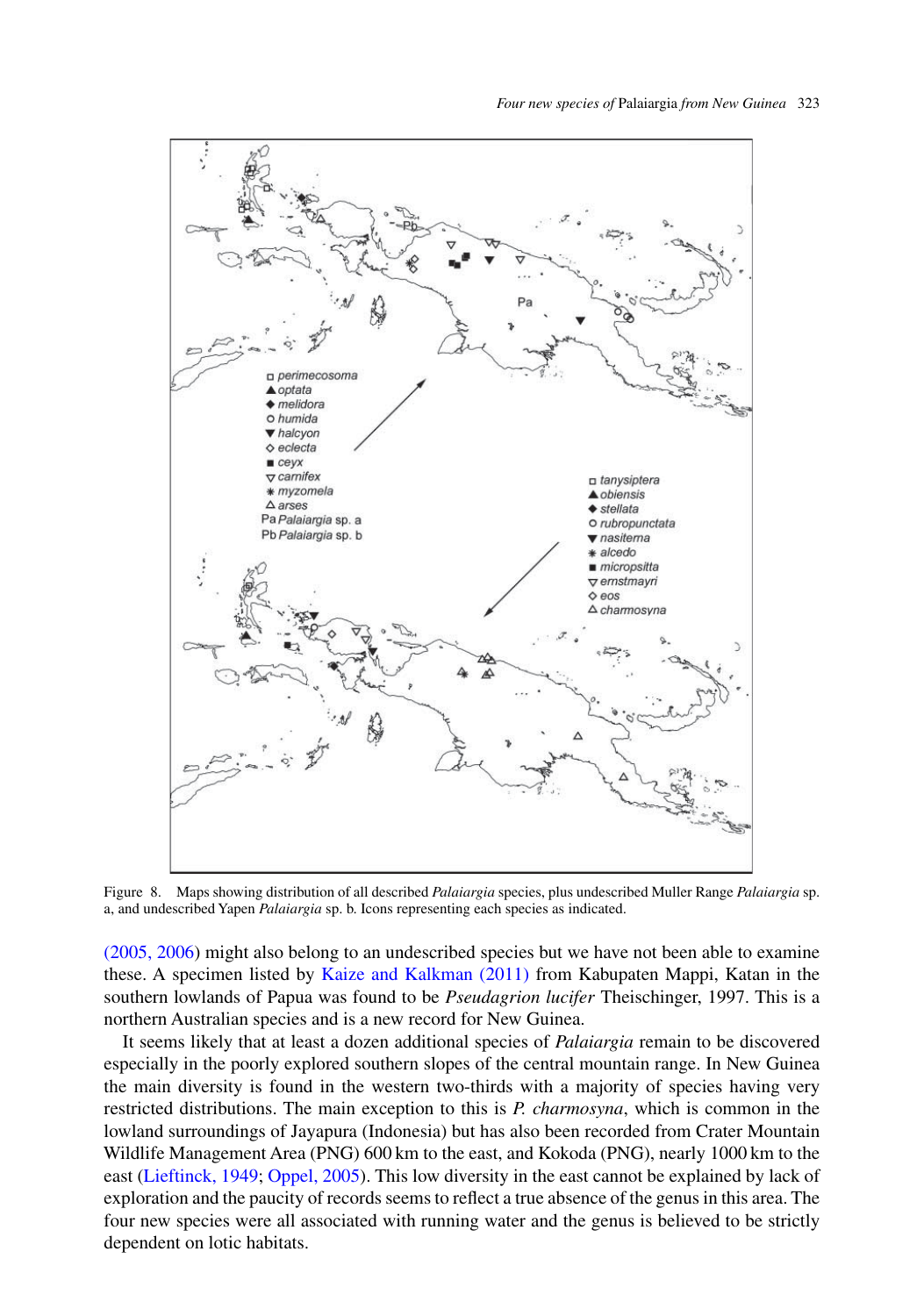<span id="page-14-0"></span>

Figure 8. Maps showing distribution of all described *Palaiargia* species, plus undescribed Muller Range *Palaiargia* sp. a, and undescribed Yapen *Palaiargia* sp. b. Icons representing each species as indicated.

[\(2005, 2006\)](#page-16-0) might also belong to an undescribed species but we have not been able to examine these. A specimen listed by [Kaize and Kalkman \(2011\)](#page-16-0) from Kabupaten Mappi, Katan in the southern lowlands of Papua was found to be *Pseudagrion lucifer* Theischinger, 1997. This is a northern Australian species and is a new record for New Guinea.

It seems likely that at least a dozen additional species of *Palaiargia* remain to be discovered especially in the poorly explored southern slopes of the central mountain range. In New Guinea the main diversity is found in the western two-thirds with a majority of species having very restricted distributions. The main exception to this is *P. charmosyna*, which is common in the lowland surroundings of Jayapura (Indonesia) but has also been recorded from Crater Mountain Wildlife Management Area (PNG) 600 km to the east, and Kokoda (PNG), nearly 1000 km to the east [\(Lieftinck, 1949;](#page-16-0) [Oppel, 2005\)](#page-16-0). This low diversity in the east cannot be explained by lack of exploration and the paucity of records seems to reflect a true absence of the genus in this area. The four new species were all associated with running water and the genus is believed to be strictly dependent on lotic habitats.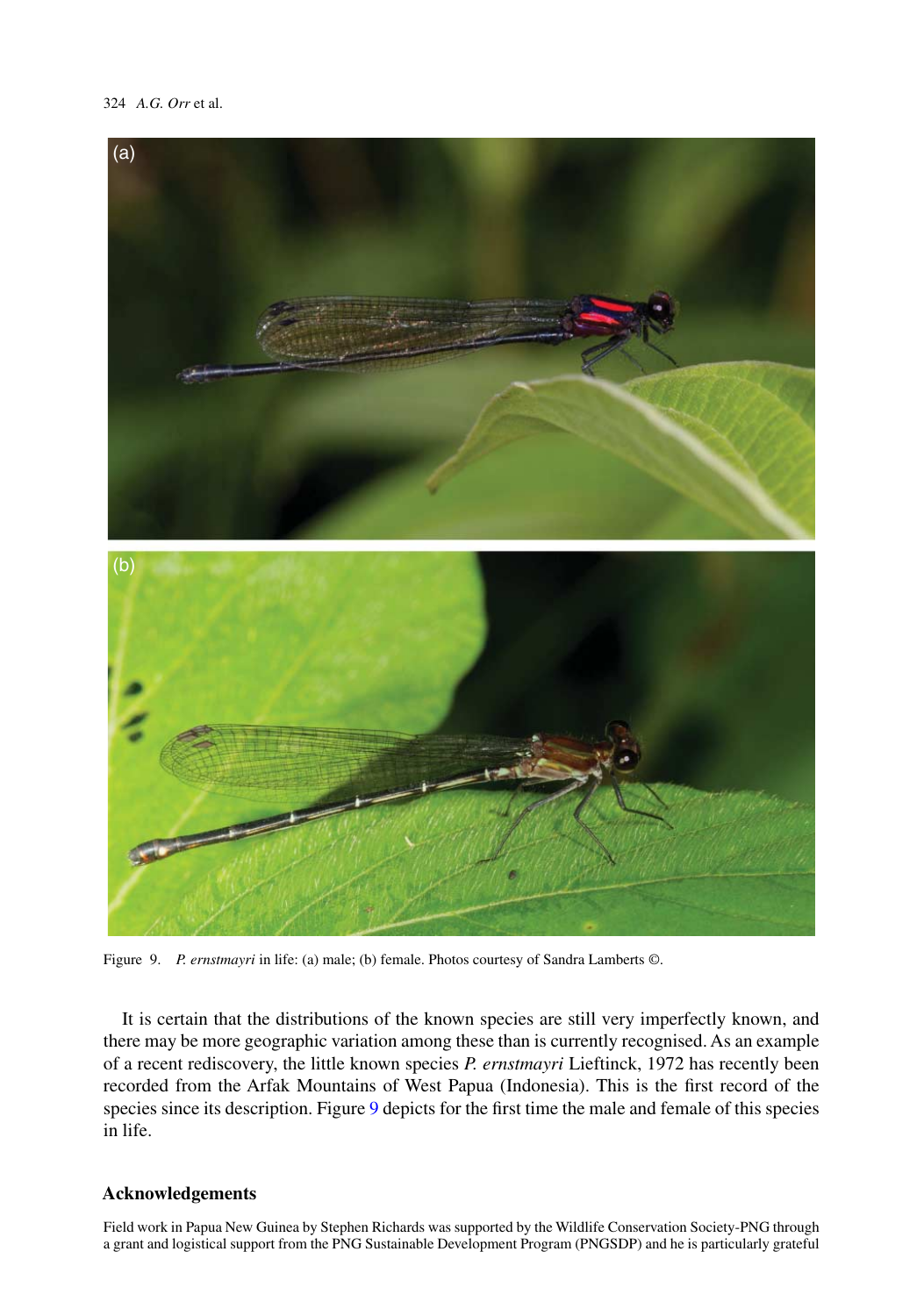<span id="page-15-0"></span>

Figure 9. *P. ernstmayri* in life: (a) male; (b) female. Photos courtesy of Sandra Lamberts ©.

It is certain that the distributions of the known species are still very imperfectly known, and there may be more geographic variation among these than is currently recognised. As an example of a recent rediscovery, the little known species *P. ernstmayri* Lieftinck, 1972 has recently been recorded from the Arfak Mountains of West Papua (Indonesia). This is the first record of the species since its description. Figure 9 depicts for the first time the male and female of this species in life.

### **Acknowledgements**

Field work in Papua New Guinea by Stephen Richards was supported by the Wildlife Conservation Society-PNG through a grant and logistical support from the PNG Sustainable Development Program (PNGSDP) and he is particularly grateful